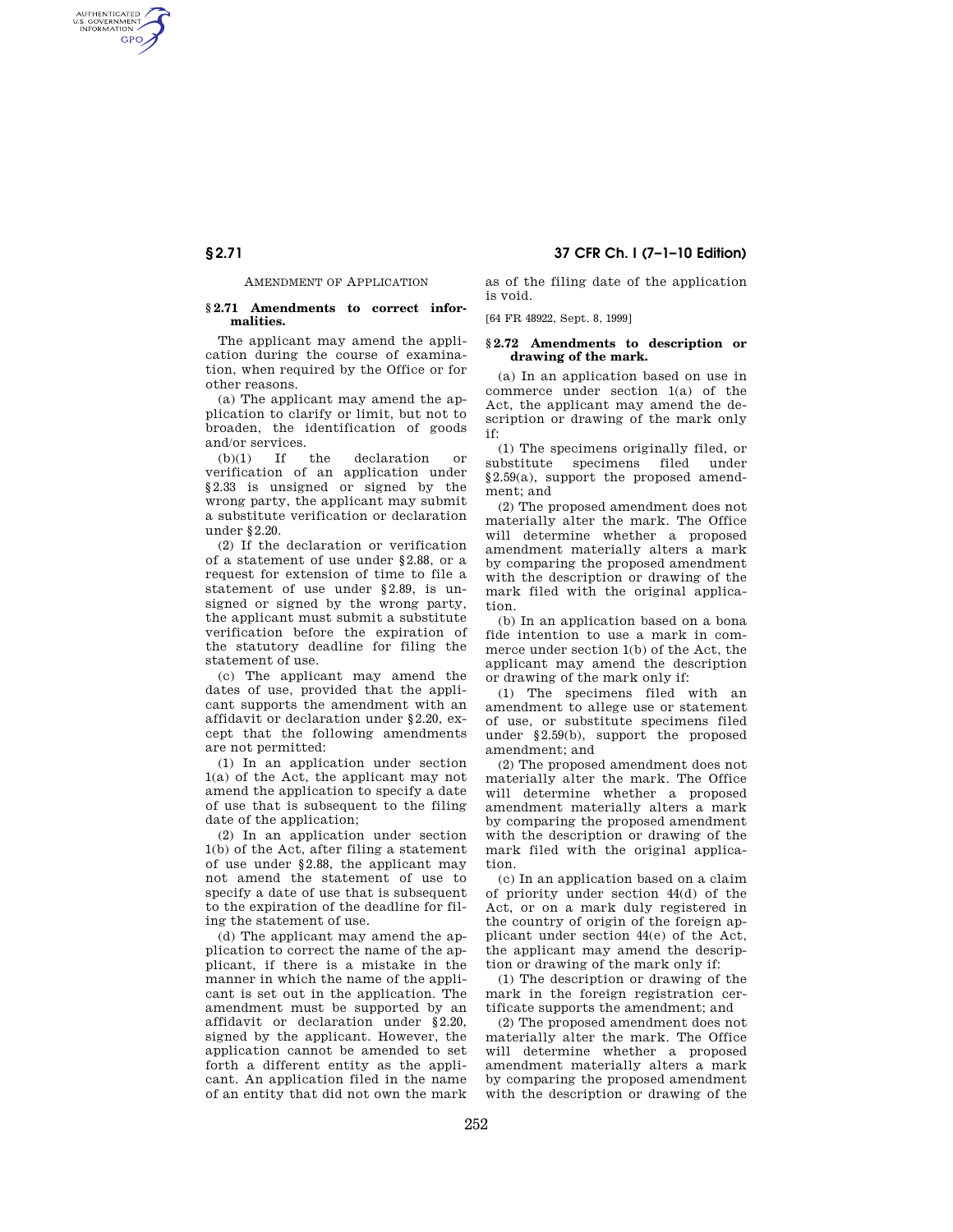# **§ 2.71 37 CFR Ch. I (7–1–10 Edition)**

## AMENDMENT OF APPLICATION

AUTHENTICATED<br>U.S. GOVERNMENT<br>INFORMATION GPO

#### **§ 2.71 Amendments to correct informalities.**

The applicant may amend the application during the course of examination, when required by the Office or for other reasons.

(a) The applicant may amend the application to clarify or limit, but not to broaden, the identification of goods and/or services.

(b)(1) If the declaration or verification of an application under §2.33 is unsigned or signed by the wrong party, the applicant may submit a substitute verification or declaration under §2.20.

(2) If the declaration or verification of a statement of use under §2.88, or a request for extension of time to file a statement of use under §2.89, is unsigned or signed by the wrong party, the applicant must submit a substitute verification before the expiration of the statutory deadline for filing the statement of use.

(c) The applicant may amend the dates of use, provided that the applicant supports the amendment with an affidavit or declaration under §2.20, except that the following amendments are not permitted:

(1) In an application under section 1(a) of the Act, the applicant may not amend the application to specify a date of use that is subsequent to the filing date of the application;

(2) In an application under section 1(b) of the Act, after filing a statement of use under §2.88, the applicant may not amend the statement of use to specify a date of use that is subsequent to the expiration of the deadline for filing the statement of use.

(d) The applicant may amend the application to correct the name of the applicant, if there is a mistake in the manner in which the name of the applicant is set out in the application. The amendment must be supported by an affidavit or declaration under §2.20, signed by the applicant. However, the application cannot be amended to set forth a different entity as the applicant. An application filed in the name of an entity that did not own the mark as of the filing date of the application is void.

[64 FR 48922, Sept. 8, 1999]

### **§ 2.72 Amendments to description or drawing of the mark.**

(a) In an application based on use in commerce under section 1(a) of the Act, the applicant may amend the description or drawing of the mark only if:

(1) The specimens originally filed, or substitute specimens filed under §2.59(a), support the proposed amendment; and

(2) The proposed amendment does not materially alter the mark. The Office will determine whether a proposed amendment materially alters a mark by comparing the proposed amendment with the description or drawing of the mark filed with the original application.

(b) In an application based on a bona fide intention to use a mark in commerce under section 1(b) of the Act, the applicant may amend the description or drawing of the mark only if:

(1) The specimens filed with an amendment to allege use or statement of use, or substitute specimens filed under §2.59(b), support the proposed amendment; and

(2) The proposed amendment does not materially alter the mark. The Office will determine whether a proposed amendment materially alters a mark by comparing the proposed amendment with the description or drawing of the mark filed with the original application.

(c) In an application based on a claim of priority under section 44(d) of the Act, or on a mark duly registered in the country of origin of the foreign applicant under section 44(e) of the Act, the applicant may amend the description or drawing of the mark only if:

(1) The description or drawing of the mark in the foreign registration certificate supports the amendment; and

(2) The proposed amendment does not materially alter the mark. The Office will determine whether a proposed amendment materially alters a mark by comparing the proposed amendment with the description or drawing of the